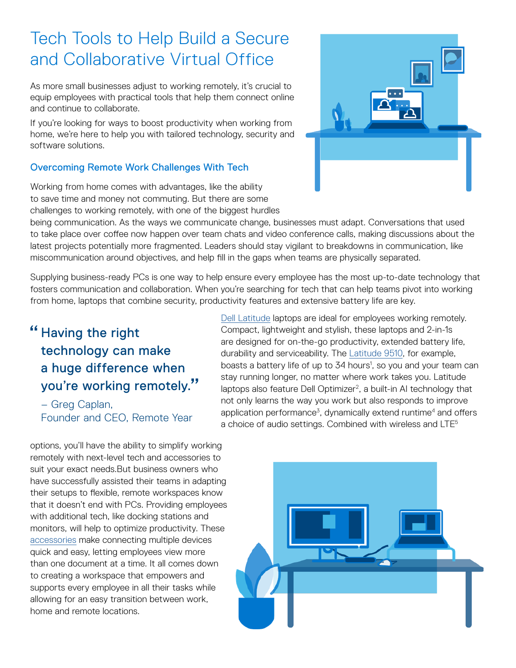# Tech Tools to Help Build a Secure and Collaborative Virtual Office

As more small businesses adjust to working remotely, it's crucial to equip employees with practical tools that help them connect online and continue to collaborate.

If you're looking for ways to boost productivity when working from home, we're here to help you with tailored technology, security and software solutions.

## Overcoming Remote Work Challenges With Tech

Working from home comes with advantages, like the ability to save time and money not commuting. But there are some challenges to working remotely, with one of the biggest hurdles

being communication. As the ways we communicate change, businesses must adapt. Conversations that used to take place over coffee now happen over team chats and video conference calls, making discussions about the latest projects potentially more fragmented. Leaders should stay vigilant to breakdowns in communication, like miscommunication around objectives, and help fill in the gaps when teams are physically separated.

Supplying business-ready PCs is one way to help ensure every employee has the most up-to-date technology that fosters communication and collaboration. When you're searching for tech that can help teams pivot into working from home, laptops that combine security, productivity features and extensive battery life are key.

## " Having the right technology can make a huge difference when you're working remotely. "

– Greg Caplan, Founder and CEO, Remote Year

options, you'll have the ability to simplify working remotely with next-level tech and accessories to suit your exact needs.But business owners who have successfully assisted their teams in adapting their setups to flexible, remote workspaces know that it doesn't end with PCs. Providing employees with additional tech, like docking stations and monitors, will help to optimize productivity. These [accessories](https://www.dell.com/en-us/work/shop/accessories?~ck=bt) make connecting multiple devices quick and easy, letting employees view more than one document at a time. It all comes down to creating a workspace that empowers and supports every employee in all their tasks while allowing for an easy transition between work, home and remote locations.

[Dell Latitude](https://www.dell.com/en-us/work/shop/dell-laptops-and-notebooks/sf/latitude-laptops) laptops are ideal for employees working remotely. Compact, lightweight and stylish, these laptops and 2-in-1s are designed for on-the-go productivity, extended battery life, durability and serviceability. The [Latitude 9510,](https://www.dell.com/en-us/work/shop/dell-laptops-and-notebooks/new-latitude-9510-laptop-or-2-in-1/spd/latitude-15-9510-2-in-1-laptop) for example, boasts a battery life of up to 34 hours<sup>1</sup>, so you and your team can stay running longer, no matter where work takes you. Latitude laptops also feature Dell Optimizer<sup>2</sup>, a built-in AI technology that not only learns the way you work but also responds to improve application performance<sup>3</sup>, dynamically extend runtime<sup>4</sup> and offers a choice of audio settings. Combined with wireless and LTE<sup>5</sup>